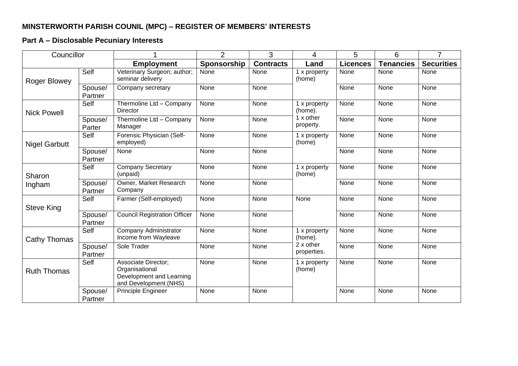## **MINSTERWORTH PARISH COUNIL (MPC) – REGISTER OF MEMBERS' INTERESTS**

## **Part A – Disclosable Pecuniary Interests**

| Councillor           |                    |                                                                                            | $\overline{2}$ | 3                | $\overline{4}$                                      | 5               | 6                | $\overline{7}$    |
|----------------------|--------------------|--------------------------------------------------------------------------------------------|----------------|------------------|-----------------------------------------------------|-----------------|------------------|-------------------|
|                      |                    | <b>Employment</b>                                                                          | Sponsorship    | <b>Contracts</b> | Land                                                | <b>Licences</b> | <b>Tenancies</b> | <b>Securities</b> |
| Roger Blowey         | Self               | Veterinary Surgeon; author;<br>seminar delivery                                            | None           | None             | 1 x property<br>(home)                              | None            | None             | None              |
|                      | Spouse/<br>Partner | Company secretary                                                                          | None           | None             |                                                     | None            | None             | None              |
| <b>Nick Powell</b>   | Self               | Thermoline Ltd - Company<br>Director                                                       | None           | None             | 1 x property<br>(home).<br>$1x$ other<br>property.  | None            | None             | None              |
|                      | Spouse/<br>Parter  | Thermoline Ltd - Company<br>Manager                                                        | None           | None             |                                                     | None            | None             | None              |
| <b>Nigel Garbutt</b> | Self               | Forensic Physician (Self-<br>employed)                                                     | None           | None             | 1 x property<br>(home)                              | None            | None             | None              |
|                      | Spouse/<br>Partner | None                                                                                       | None           | None             |                                                     | None            | None             | None              |
| Sharon<br>Ingham     | Self               | <b>Company Secretary</b><br>(unpaid)                                                       | None           | None             | 1 x property<br>(home)                              | None            | None             | None              |
|                      | Spouse/<br>Partner | Owner, Market Research<br>Company                                                          | None           | None             |                                                     | None            | None             | None              |
| Steve King           | Self               | Farmer (Self-employed)                                                                     | None           | None             | None                                                | None            | None             | None              |
|                      | Spouse/<br>Partner | <b>Council Registration Officer</b>                                                        | None           | None             |                                                     | None            | None             | None              |
| Cathy Thomas         | Self               | Company Administrator<br>Income from Wayleave                                              | None           | None             | 1 x property<br>(home).<br>2 x other<br>properties. | None            | None             | None              |
|                      | Spouse/<br>Partner | Sole Trader                                                                                | None           | None             |                                                     | None            | None             | None              |
| <b>Ruth Thomas</b>   | Self               | Associate Director;<br>Organisational<br>Development and Learning<br>and Development (NHS) | None           | None             | 1 x property<br>(home)                              | None            | None             | None              |
|                      | Spouse/<br>Partner | Principle Engineer                                                                         | None           | None             |                                                     | None            | None             | None              |